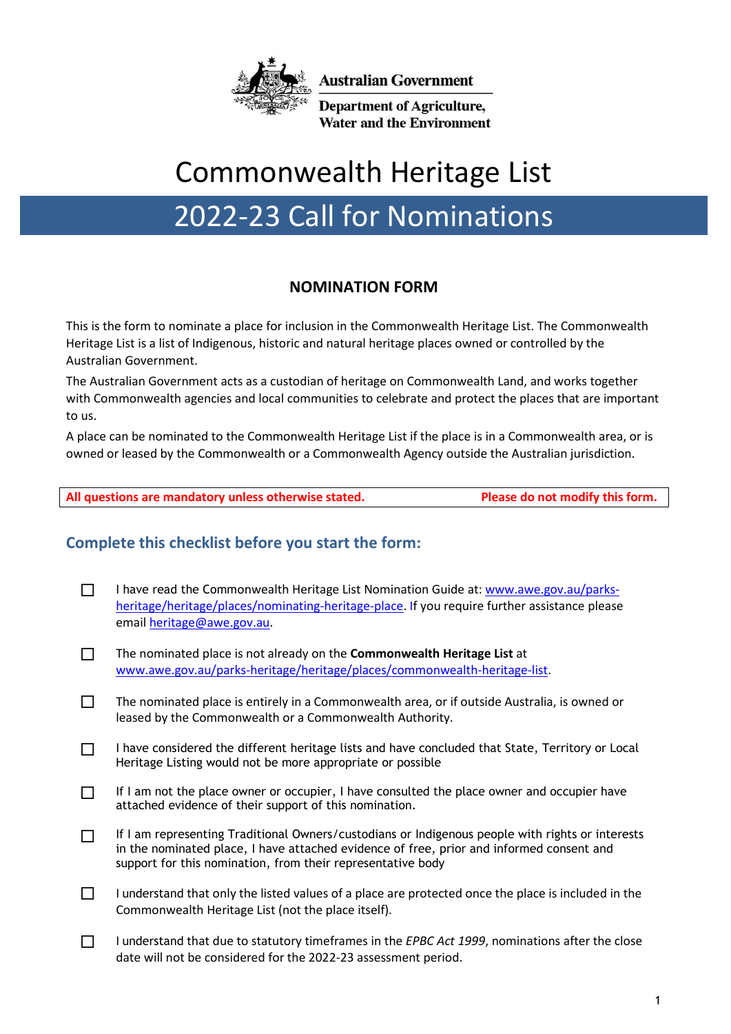

**Australian Government** 

**Department of Agriculture, Water and the Environment** 

# Commonwealth Heritage List

# 2022-23 Call for Nominations

# **NOMINATION FORM**

This is the form to nominate a place for inclusion in the Commonwealth Heritage List. The Commonwealth Heritage List is a list of Indigenous, historic and natural heritage places owned or controlled by the Australian Government.

The Australian Government acts as a custodian of heritage on Commonwealth Land, and works together with Commonwealth agencies and local communities to celebrate and protect the places that are important to us.

A place can be nominated to the Commonwealth Heritage List if the place is in a Commonwealth area, or is owned or leased by the Commonwealth or a Commonwealth Agency outside the Australian jurisdiction.

# **Complete this checklist before you start the form:**

- $\Box$  I have read the Commonwealth Heritage List Nomination Guide at: [www.awe.gov.au/parks](http://www.awe.gov.au/parks-heritage/heritage/places/nominating-heritage-place)[heritage/heritage/places/nominating-heritage-place.](http://www.awe.gov.au/parks-heritage/heritage/places/nominating-heritage-place) If you require further assistance please emai[l heritage@awe.gov.au.](mailto:heritage@awe.gov.au)
- The nominated place is not already on the **Commonwealth Heritage List** at [www.awe.gov.au/parks-heritage/heritage/places/commonwealth-heritage-list.](http://www.awe.gov.au/parks-heritage/heritage/places/commonwealth-heritage-list)
- $\Box$  The nominated place is entirely in a Commonwealth area, or if outside Australia, is owned or leased by the Commonwealth or a Commonwealth Authority.
- $\Box$  I have considered the different heritage lists and have concluded that State, Territory or Local Heritage Listing would not be more appropriate or possible
- $\Box$  If I am not the place owner or occupier, I have consulted the place owner and occupier have attached evidence of their support of this nomination.
- If I am representing Traditional Owners/custodians or Indigenous people with rights or interests in the nominated place, I have attached evidence of free, prior and informed consent and support for this nomination, from their representative body
- $\Box$  I understand that only the listed values of a place are protected once the place is included in the Commonwealth Heritage List (not the place itself).
- I understand that due to statutory timeframes in the *EPBC Act 1999*, nominations after the close date will not be considered for the 2022-23 assessment period.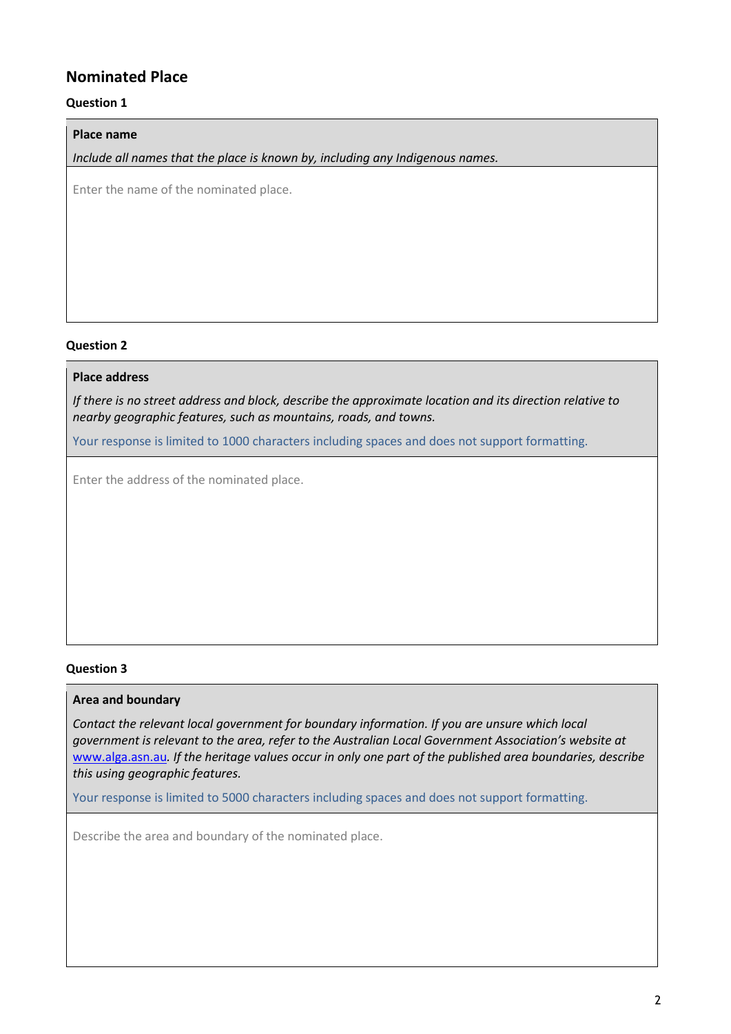# **Nominated Place**

## **Question 1**

#### **Place name**

*Include all names that the place is known by, including any Indigenous names.*

Enter the name of the nominated place.

#### **Question 2**

## **Place address**

*If there is no street address and block, describe the approximate location and its direction relative to nearby geographic features, such as mountains, roads, and towns.*

Your response is limited to 1000 characters including spaces and does not support formatting.

Enter the address of the nominated place.

#### **Question 3**

#### **Area and boundary**

*Contact the relevant local government for boundary information. If you are unsure which local government is relevant to the area, refer to the Australian Local Government Association's website at*  [www.alga.asn.au](http://www.alga.asn.au/)*. If the heritage values occur in only one part of the published area boundaries, describe this using geographic features.* 

Your response is limited to 5000 characters including spaces and does not support formatting.

Describe the area and boundary of the nominated place.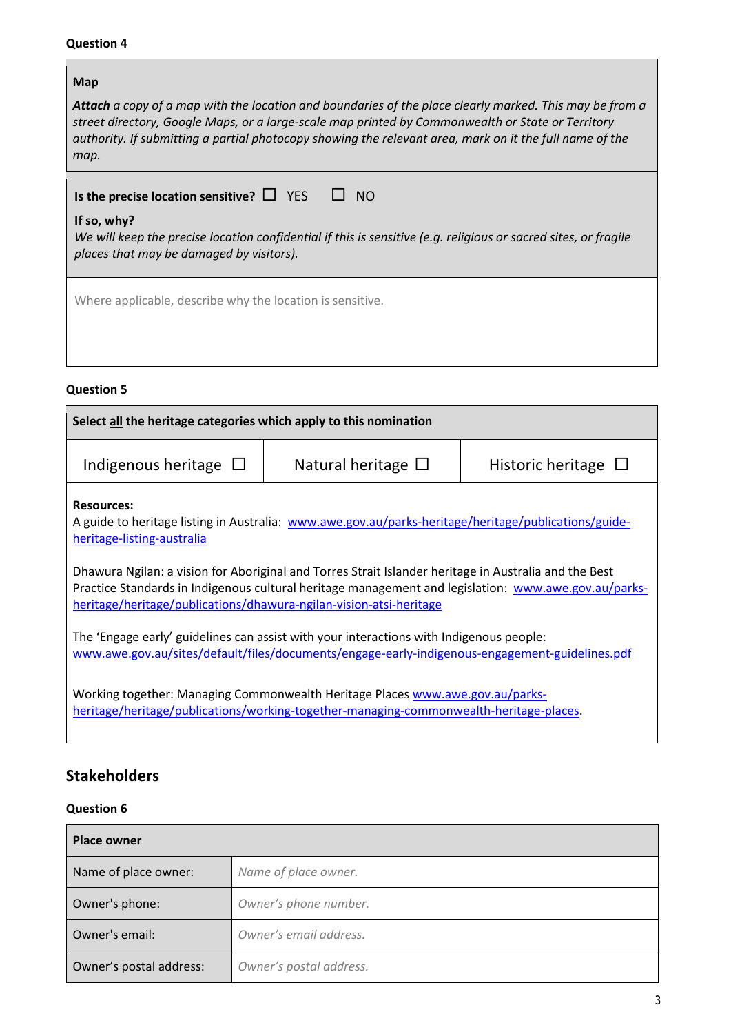**Line Common** 

| Map                                                                                                                                                                                                                                                                                                                                    |
|----------------------------------------------------------------------------------------------------------------------------------------------------------------------------------------------------------------------------------------------------------------------------------------------------------------------------------------|
| <b>Attach</b> a copy of a map with the location and boundaries of the place clearly marked. This may be from a<br>street directory, Google Maps, or a large-scale map printed by Commonwealth or State or Territory<br>authority. If submitting a partial photocopy showing the relevant area, mark on it the full name of the<br>map. |
| Is the precise location sensitive? $\Box$ YES<br>NO <sub>.</sub><br>— ⊔ ·                                                                                                                                                                                                                                                              |
| If so, why?<br>We will keep the precise location confidential if this is sensitive (e.g. religious or sacred sites, or fragile<br>places that may be damaged by visitors).                                                                                                                                                             |
| Where applicable, describe why the location is sensitive.                                                                                                                                                                                                                                                                              |
|                                                                                                                                                                                                                                                                                                                                        |

# **Question 5**

| Select all the heritage categories which apply to this nomination                                                     |                                                                                                                                                                                                                                                                                                                                                                                                                                                                                                                    |                          |
|-----------------------------------------------------------------------------------------------------------------------|--------------------------------------------------------------------------------------------------------------------------------------------------------------------------------------------------------------------------------------------------------------------------------------------------------------------------------------------------------------------------------------------------------------------------------------------------------------------------------------------------------------------|--------------------------|
| Indigenous heritage $\Box$                                                                                            | Natural heritage $\Box$                                                                                                                                                                                                                                                                                                                                                                                                                                                                                            | Historic heritage $\Box$ |
| <b>Resources:</b><br>heritage-listing-australia<br>heritage/heritage/publications/dhawura-ngilan-vision-atsi-heritage | A guide to heritage listing in Australia: www.awe.gov.au/parks-heritage/heritage/publications/guide-<br>Dhawura Ngilan: a vision for Aboriginal and Torres Strait Islander heritage in Australia and the Best<br>Practice Standards in Indigenous cultural heritage management and legislation: www.awe.gov.au/parks-<br>The 'Engage early' guidelines can assist with your interactions with Indigenous people:<br>www.awe.gov.au/sites/default/files/documents/engage-early-indigenous-engagement-guidelines.pdf |                          |
|                                                                                                                       | Working together: Managing Commonwealth Heritage Places www.awe.gov.au/parks-<br>heritage/heritage/publications/working-together-managing-commonwealth-heritage-places.                                                                                                                                                                                                                                                                                                                                            |                          |

# **Stakeholders**

# **Question 6**

| <b>Place owner</b>      |                         |
|-------------------------|-------------------------|
| Name of place owner:    | Name of place owner.    |
| Owner's phone:          | Owner's phone number.   |
| Owner's email:          | Owner's email address.  |
| Owner's postal address: | Owner's postal address. |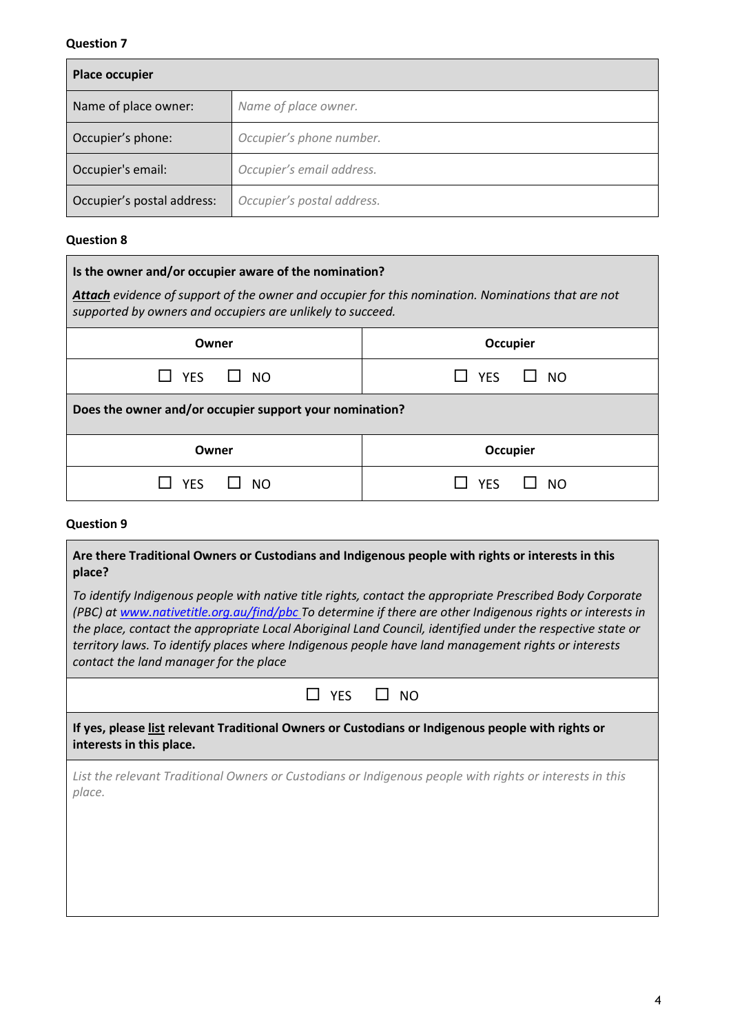| <b>Place occupier</b>      |                            |
|----------------------------|----------------------------|
| Name of place owner:       | Name of place owner.       |
| Occupier's phone:          | Occupier's phone number.   |
| Occupier's email:          | Occupier's email address.  |
| Occupier's postal address: | Occupier's postal address. |

## **Question 8**

| Is the owner and/or occupier aware of the nomination?                                                                                                                   |                         |
|-------------------------------------------------------------------------------------------------------------------------------------------------------------------------|-------------------------|
| <b>Attach</b> evidence of support of the owner and occupier for this nomination. Nominations that are not<br>supported by owners and occupiers are unlikely to succeed. |                         |
| Owner                                                                                                                                                                   | <b>Occupier</b>         |
| <b>YES</b><br>$\Box$ NO                                                                                                                                                 | <b>YFS</b><br><b>NO</b> |
| Does the owner and/or occupier support your nomination?                                                                                                                 |                         |
| Owner                                                                                                                                                                   | <b>Occupier</b>         |
| YF۲                                                                                                                                                                     | NΩ                      |

#### **Question 9**

## **Are there Traditional Owners or Custodians and Indigenous people with rights or interests in this place?**

*To identify Indigenous people with native title rights, contact the appropriate Prescribed Body Corporate (PBC) a[t www.nativetitle.org.au/find/pbc](http://www.nativetitle.org.au/find/pbc) To determine if there are other Indigenous rights or interests in the place, contact the appropriate Local Aboriginal Land Council, identified under the respective state or territory laws. To identify places where Indigenous people have land management rights or interests contact the land manager for the place* 

| NC<br>ר |
|---------|
|         |

**If yes, please list relevant Traditional Owners or Custodians or Indigenous people with rights or interests in this place.**

*List the relevant Traditional Owners or Custodians or Indigenous people with rights or interests in this place.*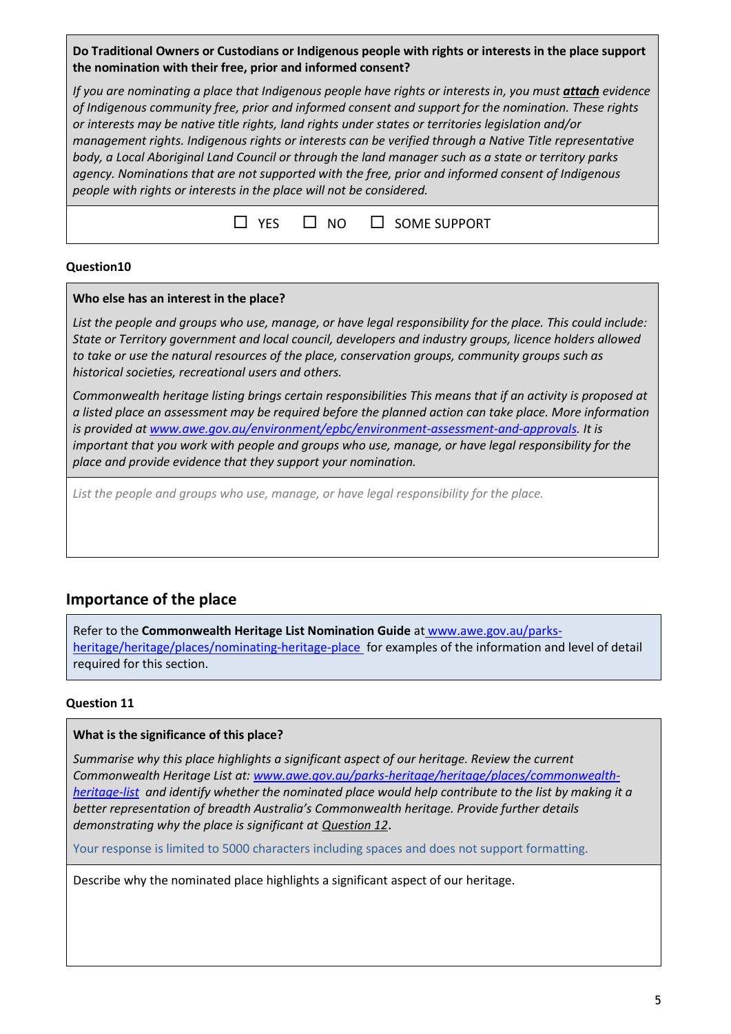**Do Traditional Owners or Custodians or Indigenous people with rights or interests in the place support the nomination with their free, prior and informed consent?**

*If you are nominating a place that Indigenous people have rights or interests in, you must attach evidence of Indigenous community free, prior and informed consent and support for the nomination. These rights or interests may be native title rights, land rights under states or territories legislation and/or management rights. Indigenous rights or interests can be verified through a Native Title representative body, a Local Aboriginal Land Council or through the land manager such as a state or territory parks agency. Nominations that are not supported with the free, prior and informed consent of Indigenous people with rights or interests in the place will not be considered.*

|  |  | $\Box$ YES $\Box$ NO $\Box$ SOME SUPPORT |
|--|--|------------------------------------------|
|--|--|------------------------------------------|

## **Question10**

#### **Who else has an interest in the place?**

*List the people and groups who use, manage, or have legal responsibility for the place. This could include: State or Territory government and local council, developers and industry groups, licence holders allowed to take or use the natural resources of the place, conservation groups, community groups such as historical societies, recreational users and others.*

*Commonwealth heritage listing brings certain responsibilities This means that if an activity is proposed at a listed place an assessment may be required before the planned action can take place. More information is provided at [www.awe.gov.au/environment/epbc/environment-assessment-and-approvals.](http://www.awe.gov.au/environment/epbc/environment-assessment-and-approvals) It is important that you work with people and groups who use, manage, or have legal responsibility for the place and provide evidence that they support your nomination.*

*List the people and groups who use, manage, or have legal responsibility for the place.*

# **Importance of the place**

Refer to the **Commonwealth Heritage List Nomination Guide** at www.awe.gov.au/parksheritage/heritage/places/nominating-heritage-place for examples of the information and level of detail required for this section.

#### **Question 11**

#### **What is the significance of this place?**

*Summarise why this place highlights a significant aspect of our heritage. Review the current Commonwealth Heritage List at: [www.awe.gov.au/parks-heritage/heritage/places/commonwealth](http://www.awe.gov.au/parks-heritage/heritage/places/commonwealth-heritage-list)[heritage-list](http://www.awe.gov.au/parks-heritage/heritage/places/commonwealth-heritage-list) and identify whether the nominated place would help contribute to the list by making it a better representation of breadth Australia's Commonwealth heritage. Provide further details demonstrating why the place is significant at Question 12*.

Your response is limited to 5000 characters including spaces and does not support formatting.

Describe why the nominated place highlights a significant aspect of our heritage.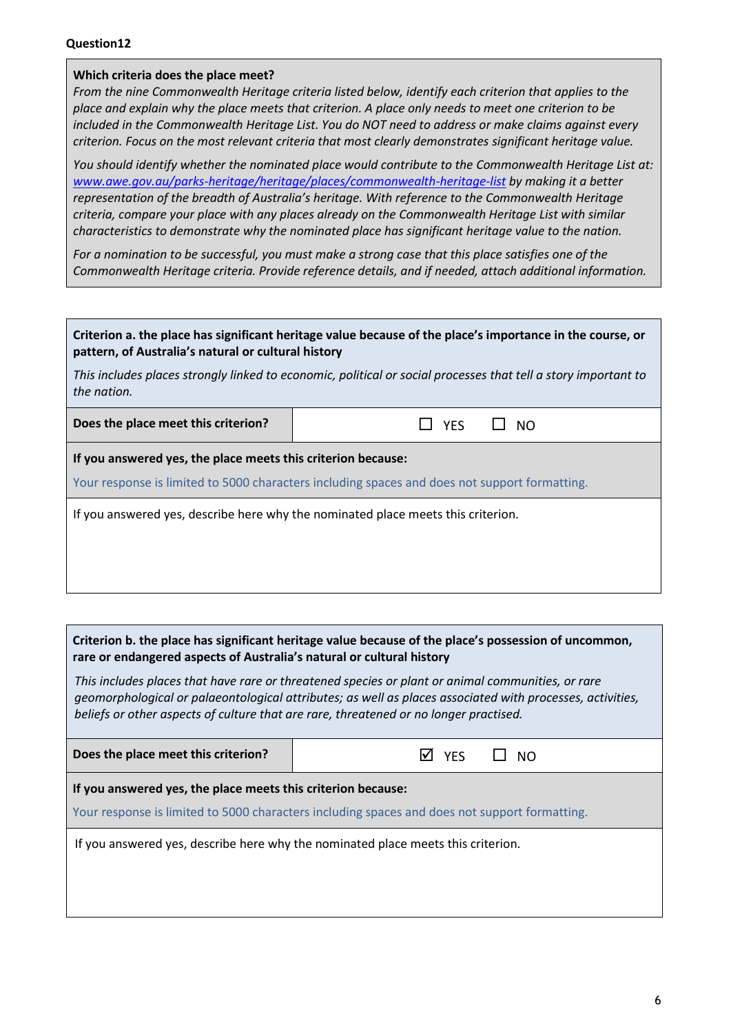#### **Which criteria does the place meet?**

*From the nine Commonwealth Heritage criteria listed below, identify each criterion that applies to the place and explain why the place meets that criterion. A place only needs to meet one criterion to be included in the Commonwealth Heritage List. You do NOT need to address or make claims against every criterion. Focus on the most relevant criteria that most clearly demonstrates significant heritage value.*

*You should identify whether the nominated place would contribute to the Commonwealth Heritage List at: [www.awe.gov.au/parks-heritage/heritage/places/commonwealth-heritage-list](http://www.awe.gov.au/parks-heritage/heritage/places/commonwealth-heritage-list) by making it a better representation of the breadth of Australia's heritage. With reference to the Commonwealth Heritage criteria, compare your place with any places already on the Commonwealth Heritage List with similar characteristics to demonstrate why the nominated place has significant heritage value to the nation.*

*For a nomination to be successful, you must make a strong case that this place satisfies one of the Commonwealth Heritage criteria. Provide reference details, and if needed, attach additional information.*

| pattern, of Australia's natural or cultural history          | Criterion a. the place has significant heritage value because of the place's importance in the course, or      |
|--------------------------------------------------------------|----------------------------------------------------------------------------------------------------------------|
| the nation.                                                  | This includes places strongly linked to economic, political or social processes that tell a story important to |
| Does the place meet this criterion?                          | $\Box$ NO<br><b>YES</b>                                                                                        |
| If you answered yes, the place meets this criterion because: | Your response is limited to 5000 characters including spaces and does not support formatting.                  |
|                                                              | If you answered yes, describe here why the nominated place meets this criterion.                               |

#### **Criterion b. the place has significant heritage value because of the place's possession of uncommon, rare or endangered aspects of Australia's natural or cultural history**

*This includes places that have rare or threatened species or plant or animal communities, or rare geomorphological or palaeontological attributes; as well as places associated with processes, activities, beliefs or other aspects of culture that are rare, threatened or no longer practised.*

| <b>YFS</b><br>M<br>NO.                                                                                                                                        |
|---------------------------------------------------------------------------------------------------------------------------------------------------------------|
| If you answered yes, the place meets this criterion because:<br>Your response is limited to 5000 characters including spaces and does not support formatting. |
| If you answered yes, describe here why the nominated place meets this criterion.                                                                              |
|                                                                                                                                                               |
|                                                                                                                                                               |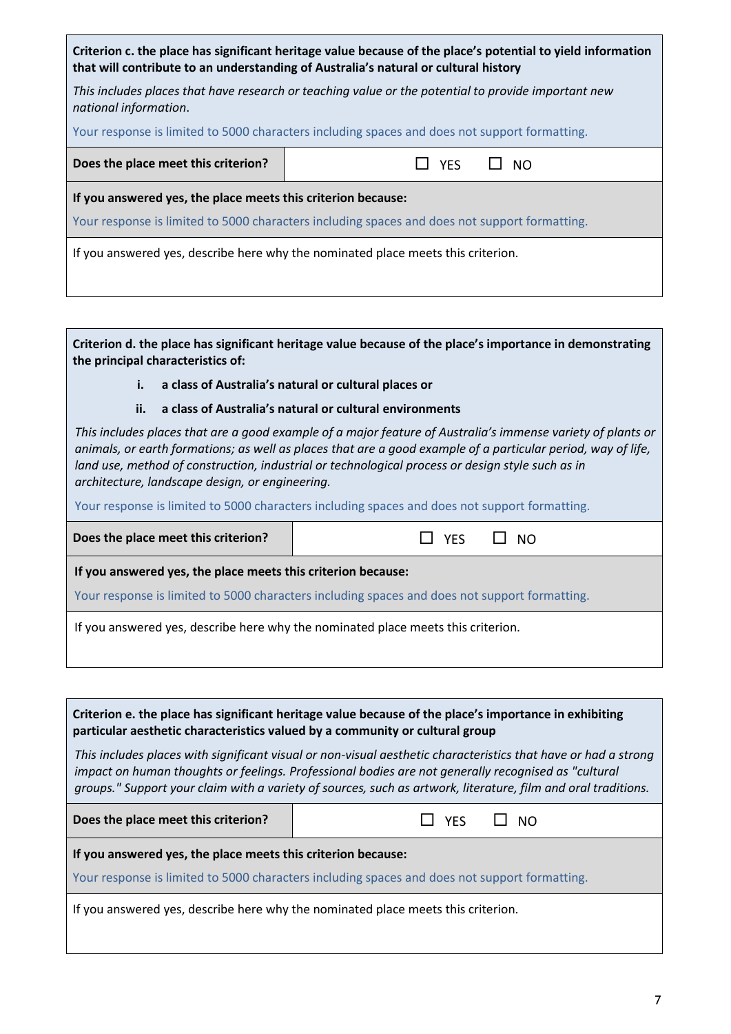| Criterion c. the place has significant heritage value because of the place's potential to yield information<br>that will contribute to an understanding of Australia's natural or cultural history |  |  |
|----------------------------------------------------------------------------------------------------------------------------------------------------------------------------------------------------|--|--|
| This includes places that have research or teaching value or the potential to provide important new<br>national information.                                                                       |  |  |
| Your response is limited to 5000 characters including spaces and does not support formatting.                                                                                                      |  |  |
| <b>YES</b><br>- NO                                                                                                                                                                                 |  |  |
| If you answered yes, the place meets this criterion because:                                                                                                                                       |  |  |
| Your response is limited to 5000 characters including spaces and does not support formatting.                                                                                                      |  |  |
| If you answered yes, describe here why the nominated place meets this criterion.                                                                                                                   |  |  |
|                                                                                                                                                                                                    |  |  |

**Criterion d. the place has significant heritage value because of the place's importance in demonstrating the principal characteristics of:**

**i. a class of Australia's natural or cultural places or**

#### **ii. a class of Australia's natural or cultural environments**

*This includes places that are a good example of a major feature of Australia's immense variety of plants or animals, or earth formations; as well as places that are a good example of a particular period, way of life, land use, method of construction, industrial or technological process or design style such as in architecture, landscape design, or engineering.*

Your response is limited to 5000 characters including spaces and does not support formatting.

**Does the place meet this criterion? WES SERVING WAS SERVING WATER** 

**If you answered yes, the place meets this criterion because:**

Your response is limited to 5000 characters including spaces and does not support formatting.

If you answered yes, describe here why the nominated place meets this criterion.

**Criterion e. the place has significant heritage value because of the place's importance in exhibiting particular aesthetic characteristics valued by a community or cultural group**

*This includes places with significant visual or non-visual aesthetic characteristics that have or had a strong impact on human thoughts or feelings. Professional bodies are not generally recognised as "cultural groups." Support your claim with a variety of sources, such as artwork, literature, film and oral traditions.*

| Does the place meet this criterion?<br>$\square$ NO<br>$\Box$ YES |
|-------------------------------------------------------------------|
|-------------------------------------------------------------------|

**If you answered yes, the place meets this criterion because:**

Your response is limited to 5000 characters including spaces and does not support formatting.

If you answered yes, describe here why the nominated place meets this criterion.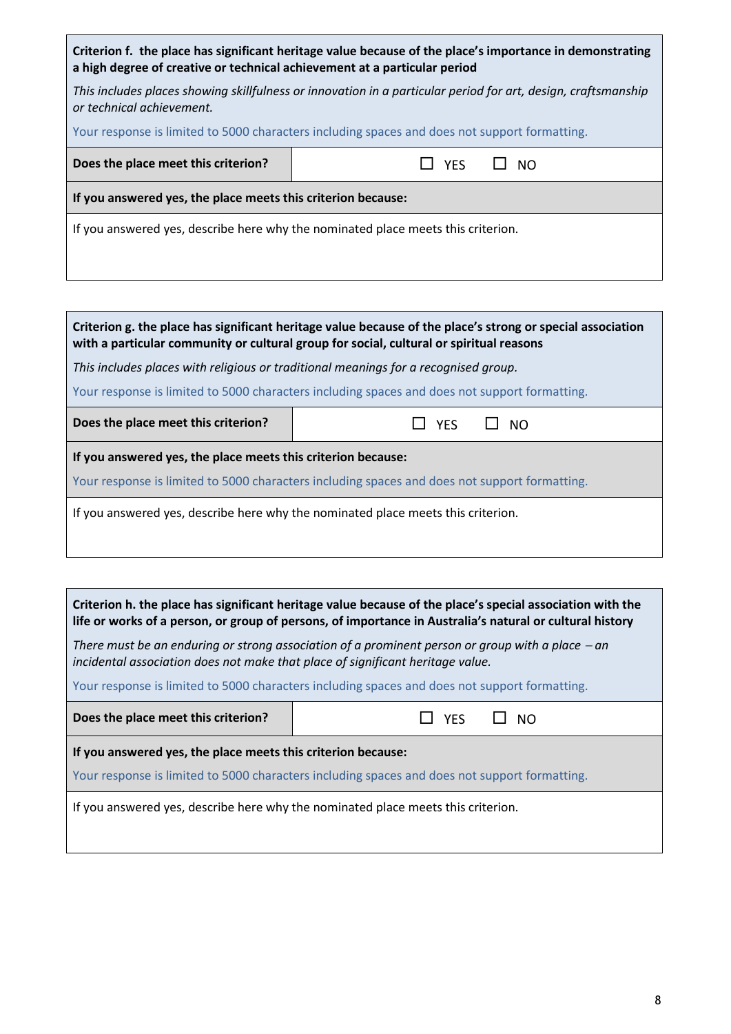| Criterion f. the place has significant heritage value because of the place's importance in demonstrating<br>a high degree of creative or technical achievement at a particular period |                         |  |  |
|---------------------------------------------------------------------------------------------------------------------------------------------------------------------------------------|-------------------------|--|--|
| This includes places showing skillfulness or innovation in a particular period for art, design, craftsmanship<br>or technical achievement.                                            |                         |  |  |
| Your response is limited to 5000 characters including spaces and does not support formatting.                                                                                         |                         |  |  |
| Does the place meet this criterion?                                                                                                                                                   | <b>YFS</b><br><b>NO</b> |  |  |
| If you answered yes, the place meets this criterion because:                                                                                                                          |                         |  |  |
| If you answered yes, describe here why the nominated place meets this criterion.                                                                                                      |                         |  |  |

| Criterion g. the place has significant heritage value because of the place's strong or special association<br>with a particular community or cultural group for social, cultural or spiritual reasons |                         |  |  |  |
|-------------------------------------------------------------------------------------------------------------------------------------------------------------------------------------------------------|-------------------------|--|--|--|
| This includes places with religious or traditional meanings for a recognised group.                                                                                                                   |                         |  |  |  |
| Your response is limited to 5000 characters including spaces and does not support formatting.                                                                                                         |                         |  |  |  |
| Does the place meet this criterion?                                                                                                                                                                   | $\Box$ NO<br><b>YES</b> |  |  |  |
| If you answered yes, the place meets this criterion because:                                                                                                                                          |                         |  |  |  |
| Your response is limited to 5000 characters including spaces and does not support formatting.                                                                                                         |                         |  |  |  |
| If you answered yes, describe here why the nominated place meets this criterion.                                                                                                                      |                         |  |  |  |

| Criterion h. the place has significant heritage value because of the place's special association with the<br>life or works of a person, or group of persons, of importance in Australia's natural or cultural history |                     |  |  |
|-----------------------------------------------------------------------------------------------------------------------------------------------------------------------------------------------------------------------|---------------------|--|--|
| There must be an enduring or strong association of a prominent person or group with a place $-$ an<br>incidental association does not make that place of significant heritage value.                                  |                     |  |  |
| Your response is limited to 5000 characters including spaces and does not support formatting.                                                                                                                         |                     |  |  |
| Does the place meet this criterion?                                                                                                                                                                                   | II NO<br><b>YFS</b> |  |  |
| If you answered yes, the place meets this criterion because:                                                                                                                                                          |                     |  |  |
| Your response is limited to 5000 characters including spaces and does not support formatting.                                                                                                                         |                     |  |  |
| If you answered yes, describe here why the nominated place meets this criterion.                                                                                                                                      |                     |  |  |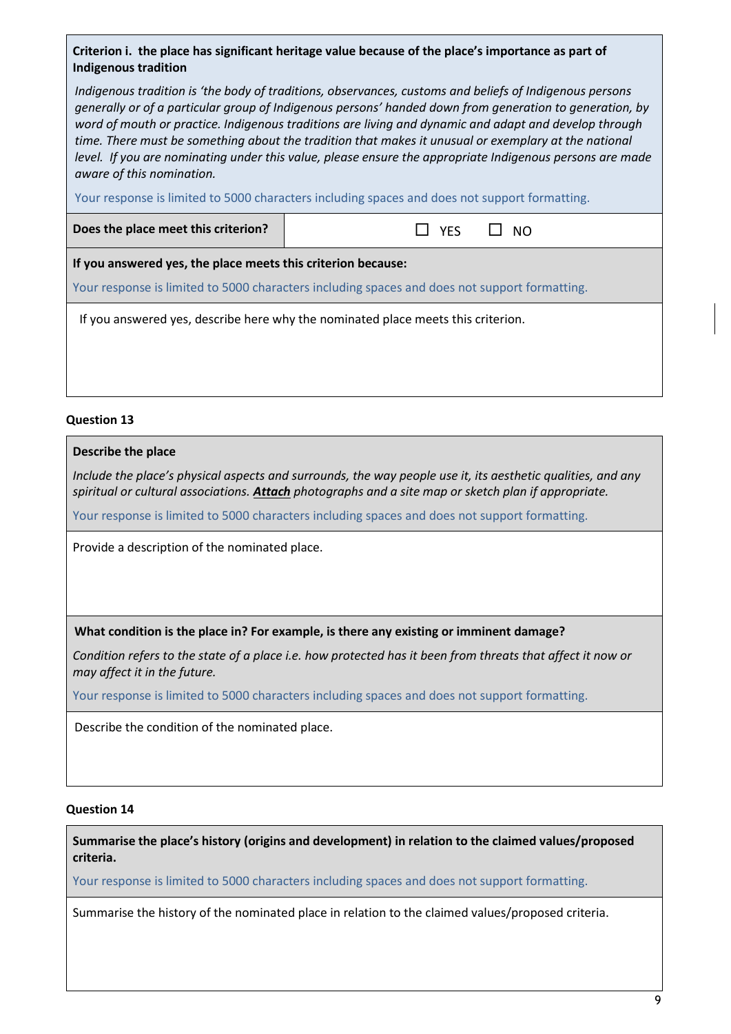## **Criterion i. the place has significant heritage value because of the place's importance as part of Indigenous tradition**

*Indigenous tradition is 'the body of traditions, observances, customs and beliefs of Indigenous persons generally or of a particular group of Indigenous persons' handed down from generation to generation, by word of mouth or practice. Indigenous traditions are living and dynamic and adapt and develop through time. There must be something about the tradition that makes it unusual or exemplary at the national level. If you are nominating under this value, please ensure the appropriate Indigenous persons are made aware of this nomination.*

Your response is limited to 5000 characters including spaces and does not support formatting.

**Does the place meet this criterion?** │ *NO* YES □ NO

**If you answered yes, the place meets this criterion because:**

Your response is limited to 5000 characters including spaces and does not support formatting.

If you answered yes, describe here why the nominated place meets this criterion.

#### **Question 13**

#### **Describe the place**

*Include the place's physical aspects and surrounds, the way people use it, its aesthetic qualities, and any spiritual or cultural associations. Attach photographs and a site map or sketch plan if appropriate.*

Your response is limited to 5000 characters including spaces and does not support formatting.

Provide a description of the nominated place.

**What condition is the place in? For example, is there any existing or imminent damage?** 

*Condition refers to the state of a place i.e. how protected has it been from threats that affect it now or may affect it in the future.*

Your response is limited to 5000 characters including spaces and does not support formatting.

Describe the condition of the nominated place.

#### **Question 14**

**Summarise the place's history (origins and development) in relation to the claimed values/proposed criteria.**

Your response is limited to 5000 characters including spaces and does not support formatting.

Summarise the history of the nominated place in relation to the claimed values/proposed criteria.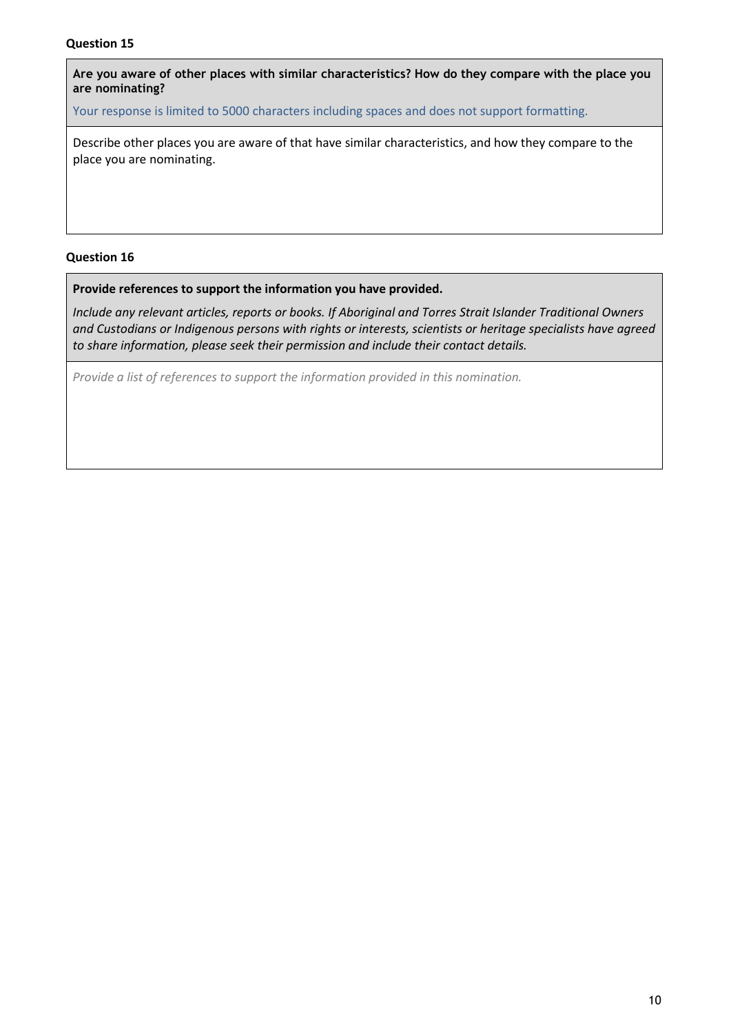**Are you aware of other places with similar characteristics? How do they compare with the place you are nominating?**

Your response is limited to 5000 characters including spaces and does not support formatting.

Describe other places you are aware of that have similar characteristics, and how they compare to the place you are nominating.

#### **Question 16**

**Provide references to support the information you have provided.** 

*Include any relevant articles, reports or books. If Aboriginal and Torres Strait Islander Traditional Owners and Custodians or Indigenous persons with rights or interests, scientists or heritage specialists have agreed to share information, please seek their permission and include their contact details.*

*Provide a list of references to support the information provided in this nomination.*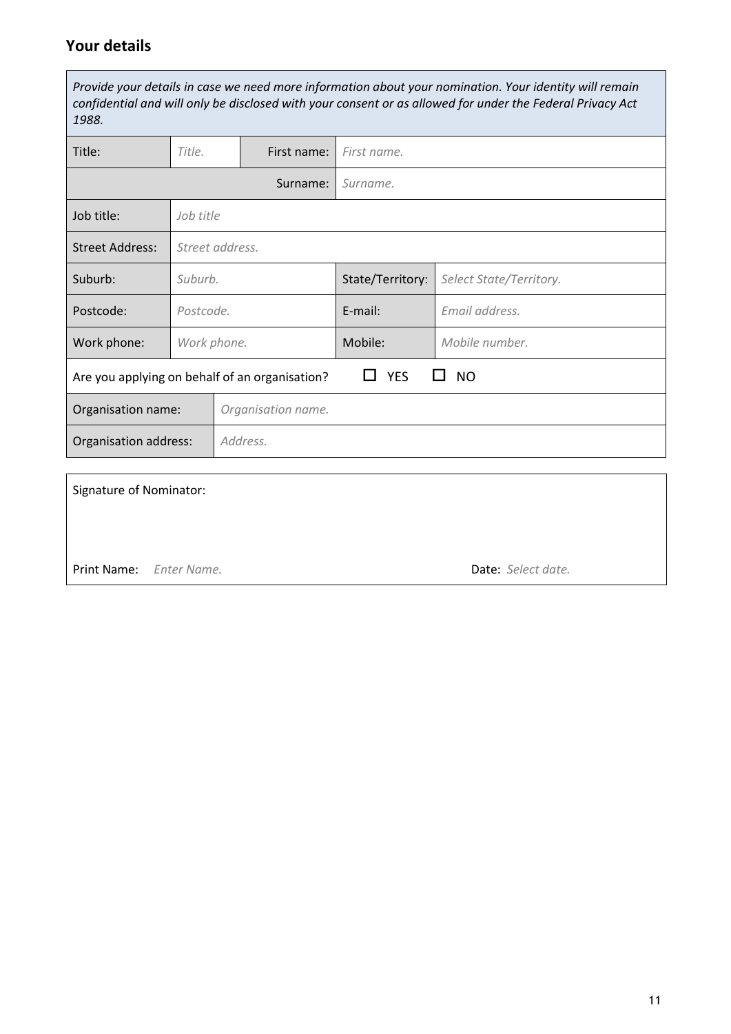# **Your details**

*Provide your details in case we need more information about your nomination. Your identity will remain confidential and will only be disclosed with your consent or as allowed for under the Federal Privacy Act 1988.*

| Title:                                                                    | Title.          |           | First name:      | First name.             |                |  |
|---------------------------------------------------------------------------|-----------------|-----------|------------------|-------------------------|----------------|--|
|                                                                           |                 |           | Surname:         | Surname.                |                |  |
| Job title:                                                                |                 | Job title |                  |                         |                |  |
| <b>Street Address:</b>                                                    | Street address. |           |                  |                         |                |  |
| Suburb:                                                                   | Suburb.         |           | State/Territory: | Select State/Territory. |                |  |
| Postcode:                                                                 | Postcode.       |           | $E$ -mail:       | Email address.          |                |  |
| Work phone:                                                               | Work phone.     |           |                  | Mobile:                 | Mobile number. |  |
| <b>YES</b><br><b>NO</b><br>Are you applying on behalf of an organisation? |                 |           |                  |                         |                |  |
| Organisation name.<br>Organisation name:                                  |                 |           |                  |                         |                |  |
| Organisation address:                                                     |                 |           | Address.         |                         |                |  |

| <b>Signature of Nominator:</b> |                    |
|--------------------------------|--------------------|
|                                |                    |
| Print Name: Enter Name.        | Date: Select date. |